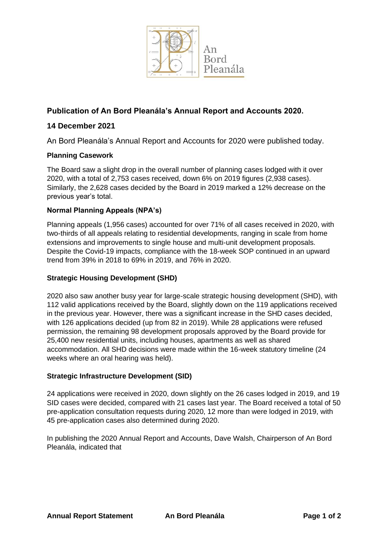

# **Publication of An Bord Pleanála's Annual Report and Accounts 2020.**

## **14 December 2021**

An Bord Pleanála's Annual Report and Accounts for 2020 were published today.

### **Planning Casework**

The Board saw a slight drop in the overall number of planning cases lodged with it over 2020, with a total of 2,753 cases received, down 6% on 2019 figures (2,938 cases). Similarly, the 2,628 cases decided by the Board in 2019 marked a 12% decrease on the previous year's total.

### **Normal Planning Appeals (NPA's)**

Planning appeals (1,956 cases) accounted for over 71% of all cases received in 2020, with two-thirds of all appeals relating to residential developments, ranging in scale from home extensions and improvements to single house and multi-unit development proposals. Despite the Covid-19 impacts, compliance with the 18-week SOP continued in an upward trend from 39% in 2018 to 69% in 2019, and 76% in 2020.

#### **Strategic Housing Development (SHD)**

2020 also saw another busy year for large-scale strategic housing development (SHD), with 112 valid applications received by the Board, slightly down on the 119 applications received in the previous year. However, there was a significant increase in the SHD cases decided, with 126 applications decided (up from 82 in 2019). While 28 applications were refused permission, the remaining 98 development proposals approved by the Board provide for 25,400 new residential units, including houses, apartments as well as shared accommodation. All SHD decisions were made within the 16-week statutory timeline (24 weeks where an oral hearing was held).

#### **Strategic Infrastructure Development (SID)**

24 applications were received in 2020, down slightly on the 26 cases lodged in 2019, and 19 SID cases were decided, compared with 21 cases last year. The Board received a total of 50 pre-application consultation requests during 2020, 12 more than were lodged in 2019, with 45 pre-application cases also determined during 2020.

In publishing the 2020 Annual Report and Accounts, Dave Walsh, Chairperson of An Bord Pleanála, indicated that